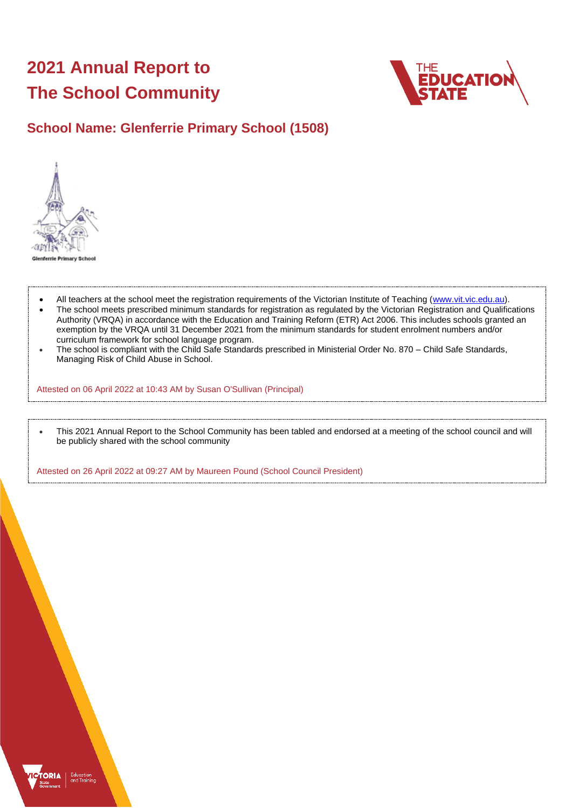# **2021 Annual Report to The School Community**



# **School Name: Glenferrie Primary School (1508)**



- All teachers at the school meet the registration requirements of the Victorian Institute of Teaching [\(www.vit.vic.edu.au\)](https://www.vit.vic.edu.au/).
- The school meets prescribed minimum standards for registration as regulated by the Victorian Registration and Qualifications Authority (VRQA) in accordance with the Education and Training Reform (ETR) Act 2006. This includes schools granted an exemption by the VRQA until 31 December 2021 from the minimum standards for student enrolment numbers and/or curriculum framework for school language program.
- The school is compliant with the Child Safe Standards prescribed in Ministerial Order No. 870 Child Safe Standards, Managing Risk of Child Abuse in School.

Attested on 06 April 2022 at 10:43 AM by Susan O'Sullivan (Principal)

• This 2021 Annual Report to the School Community has been tabled and endorsed at a meeting of the school council and will be publicly shared with the school community

Attested on 26 April 2022 at 09:27 AM by Maureen Pound (School Council President)

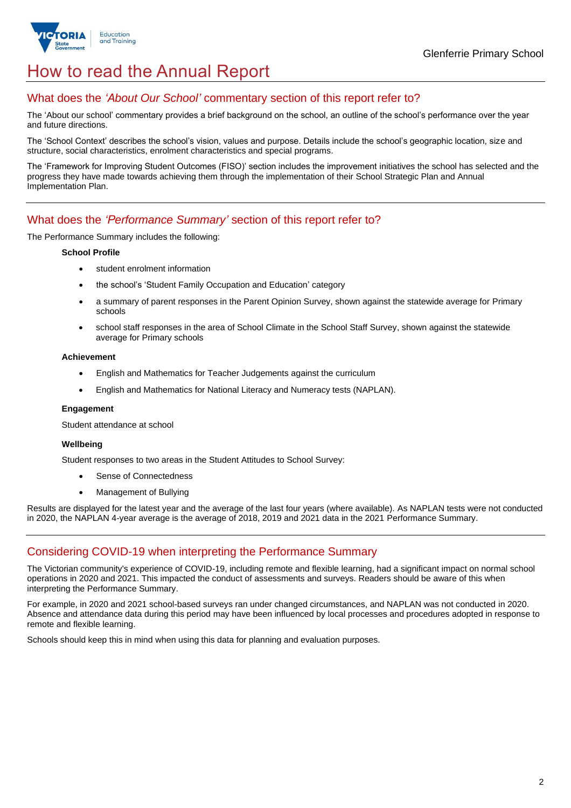

# How to read the Annual Report

## What does the *'About Our School'* commentary section of this report refer to?

The 'About our school' commentary provides a brief background on the school, an outline of the school's performance over the year and future directions.

The 'School Context' describes the school's vision, values and purpose. Details include the school's geographic location, size and structure, social characteristics, enrolment characteristics and special programs.

The 'Framework for Improving Student Outcomes (FISO)' section includes the improvement initiatives the school has selected and the progress they have made towards achieving them through the implementation of their School Strategic Plan and Annual Implementation Plan.

### What does the *'Performance Summary'* section of this report refer to?

The Performance Summary includes the following:

#### **School Profile**

- student enrolment information
- the school's 'Student Family Occupation and Education' category
- a summary of parent responses in the Parent Opinion Survey, shown against the statewide average for Primary schools
- school staff responses in the area of School Climate in the School Staff Survey, shown against the statewide average for Primary schools

#### **Achievement**

- English and Mathematics for Teacher Judgements against the curriculum
- English and Mathematics for National Literacy and Numeracy tests (NAPLAN).

### **Engagement**

Student attendance at school

### **Wellbeing**

Student responses to two areas in the Student Attitudes to School Survey:

- Sense of Connectedness
- Management of Bullying

Results are displayed for the latest year and the average of the last four years (where available). As NAPLAN tests were not conducted in 2020, the NAPLAN 4-year average is the average of 2018, 2019 and 2021 data in the 2021 Performance Summary.

## Considering COVID-19 when interpreting the Performance Summary

The Victorian community's experience of COVID-19, including remote and flexible learning, had a significant impact on normal school operations in 2020 and 2021. This impacted the conduct of assessments and surveys. Readers should be aware of this when interpreting the Performance Summary.

For example, in 2020 and 2021 school-based surveys ran under changed circumstances, and NAPLAN was not conducted in 2020. Absence and attendance data during this period may have been influenced by local processes and procedures adopted in response to remote and flexible learning.

Schools should keep this in mind when using this data for planning and evaluation purposes.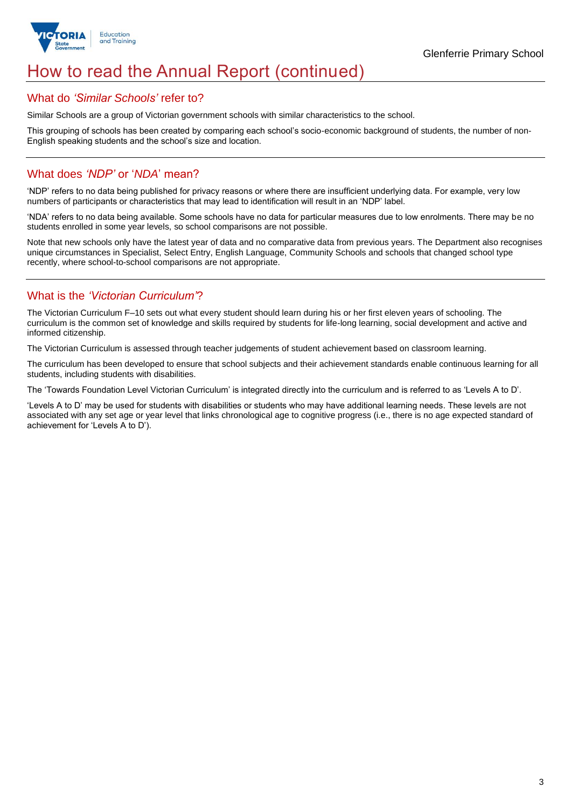

# How to read the Annual Report (continued)

### What do *'Similar Schools'* refer to?

Similar Schools are a group of Victorian government schools with similar characteristics to the school.

This grouping of schools has been created by comparing each school's socio-economic background of students, the number of non-English speaking students and the school's size and location.

## What does *'NDP'* or '*NDA*' mean?

'NDP' refers to no data being published for privacy reasons or where there are insufficient underlying data. For example, very low numbers of participants or characteristics that may lead to identification will result in an 'NDP' label.

'NDA' refers to no data being available. Some schools have no data for particular measures due to low enrolments. There may be no students enrolled in some year levels, so school comparisons are not possible.

Note that new schools only have the latest year of data and no comparative data from previous years. The Department also recognises unique circumstances in Specialist, Select Entry, English Language, Community Schools and schools that changed school type recently, where school-to-school comparisons are not appropriate.

## What is the *'Victorian Curriculum'*?

The Victorian Curriculum F–10 sets out what every student should learn during his or her first eleven years of schooling. The curriculum is the common set of knowledge and skills required by students for life-long learning, social development and active and informed citizenship.

The Victorian Curriculum is assessed through teacher judgements of student achievement based on classroom learning.

The curriculum has been developed to ensure that school subjects and their achievement standards enable continuous learning for all students, including students with disabilities.

The 'Towards Foundation Level Victorian Curriculum' is integrated directly into the curriculum and is referred to as 'Levels A to D'.

'Levels A to D' may be used for students with disabilities or students who may have additional learning needs. These levels are not associated with any set age or year level that links chronological age to cognitive progress (i.e., there is no age expected standard of achievement for 'Levels A to D').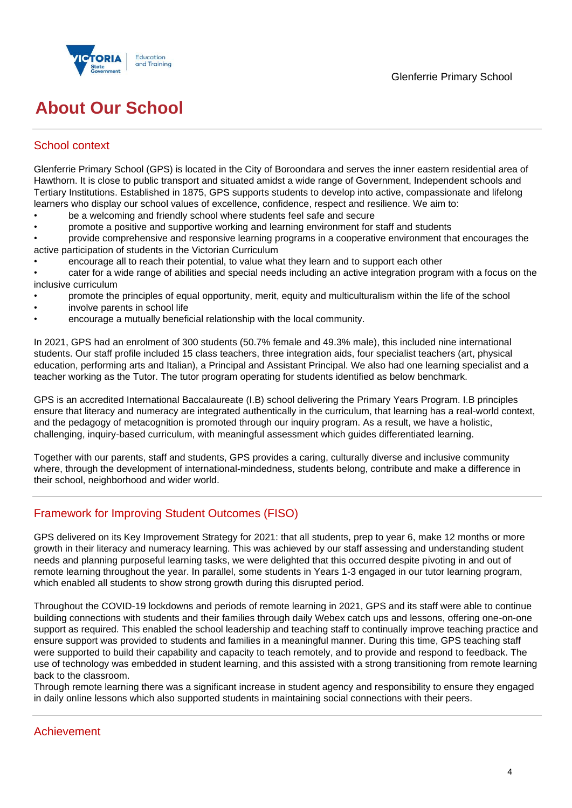

# **About Our School**

# School context

Glenferrie Primary School (GPS) is located in the City of Boroondara and serves the inner eastern residential area of Hawthorn. It is close to public transport and situated amidst a wide range of Government, Independent schools and Tertiary Institutions. Established in 1875, GPS supports students to develop into active, compassionate and lifelong learners who display our school values of excellence, confidence, respect and resilience. We aim to:

- be a welcoming and friendly school where students feel safe and secure
- promote a positive and supportive working and learning environment for staff and students

• provide comprehensive and responsive learning programs in a cooperative environment that encourages the active participation of students in the Victorian Curriculum

• encourage all to reach their potential, to value what they learn and to support each other

• cater for a wide range of abilities and special needs including an active integration program with a focus on the inclusive curriculum

- promote the principles of equal opportunity, merit, equity and multiculturalism within the life of the school
- involve parents in school life
- encourage a mutually beneficial relationship with the local community.

In 2021, GPS had an enrolment of 300 students (50.7% female and 49.3% male), this included nine international students. Our staff profile included 15 class teachers, three integration aids, four specialist teachers (art, physical education, performing arts and Italian), a Principal and Assistant Principal. We also had one learning specialist and a teacher working as the Tutor. The tutor program operating for students identified as below benchmark.

GPS is an accredited International Baccalaureate (I.B) school delivering the Primary Years Program. I.B principles ensure that literacy and numeracy are integrated authentically in the curriculum, that learning has a real-world context, and the pedagogy of metacognition is promoted through our inquiry program. As a result, we have a holistic, challenging, inquiry-based curriculum, with meaningful assessment which guides differentiated learning.

Together with our parents, staff and students, GPS provides a caring, culturally diverse and inclusive community where, through the development of international-mindedness, students belong, contribute and make a difference in their school, neighborhood and wider world.

## Framework for Improving Student Outcomes (FISO)

GPS delivered on its Key Improvement Strategy for 2021: that all students, prep to year 6, make 12 months or more growth in their literacy and numeracy learning. This was achieved by our staff assessing and understanding student needs and planning purposeful learning tasks, we were delighted that this occurred despite pivoting in and out of remote learning throughout the year. In parallel, some students in Years 1-3 engaged in our tutor learning program, which enabled all students to show strong growth during this disrupted period.

Throughout the COVID-19 lockdowns and periods of remote learning in 2021, GPS and its staff were able to continue building connections with students and their families through daily Webex catch ups and lessons, offering one-on-one support as required. This enabled the school leadership and teaching staff to continually improve teaching practice and ensure support was provided to students and families in a meaningful manner. During this time, GPS teaching staff were supported to build their capability and capacity to teach remotely, and to provide and respond to feedback. The use of technology was embedded in student learning, and this assisted with a strong transitioning from remote learning back to the classroom.

Through remote learning there was a significant increase in student agency and responsibility to ensure they engaged in daily online lessons which also supported students in maintaining social connections with their peers.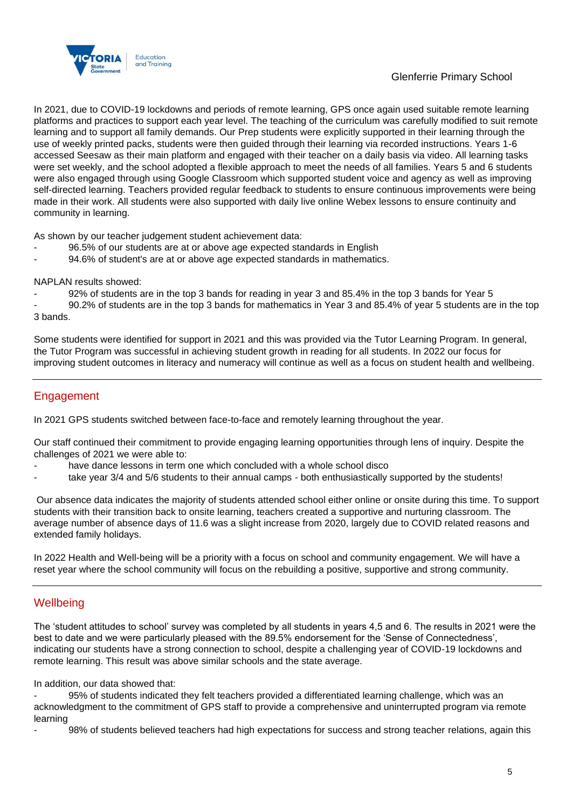

## Glenferrie Primary School

In 2021, due to COVID-19 lockdowns and periods of remote learning, GPS once again used suitable remote learning platforms and practices to support each year level. The teaching of the curriculum was carefully modified to suit remote learning and to support all family demands. Our Prep students were explicitly supported in their learning through the use of weekly printed packs, students were then guided through their learning via recorded instructions. Years 1-6 accessed Seesaw as their main platform and engaged with their teacher on a daily basis via video. All learning tasks were set weekly, and the school adopted a flexible approach to meet the needs of all families. Years 5 and 6 students were also engaged through using Google Classroom which supported student voice and agency as well as improving self-directed learning. Teachers provided regular feedback to students to ensure continuous improvements were being made in their work. All students were also supported with daily live online Webex lessons to ensure continuity and community in learning.

As shown by our teacher judgement student achievement data:

- 96.5% of our students are at or above age expected standards in English
- 94.6% of student's are at or above age expected standards in mathematics.

NAPLAN results showed:

92% of students are in the top 3 bands for reading in year 3 and 85.4% in the top 3 bands for Year 5

- 90.2% of students are in the top 3 bands for mathematics in Year 3 and 85.4% of year 5 students are in the top 3 bands.

Some students were identified for support in 2021 and this was provided via the Tutor Learning Program. In general, the Tutor Program was successful in achieving student growth in reading for all students. In 2022 our focus for improving student outcomes in literacy and numeracy will continue as well as a focus on student health and wellbeing.

# Engagement

In 2021 GPS students switched between face-to-face and remotely learning throughout the year.

Our staff continued their commitment to provide engaging learning opportunities through lens of inquiry. Despite the challenges of 2021 we were able to:

- have dance lessons in term one which concluded with a whole school disco
- take year 3/4 and 5/6 students to their annual camps both enthusiastically supported by the students!

Our absence data indicates the majority of students attended school either online or onsite during this time. To support students with their transition back to onsite learning, teachers created a supportive and nurturing classroom. The average number of absence days of 11.6 was a slight increase from 2020, largely due to COVID related reasons and extended family holidays.

In 2022 Health and Well-being will be a priority with a focus on school and community engagement. We will have a reset year where the school community will focus on the rebuilding a positive, supportive and strong community.

## **Wellbeing**

The 'student attitudes to school' survey was completed by all students in years 4,5 and 6. The results in 2021 were the best to date and we were particularly pleased with the 89.5% endorsement for the 'Sense of Connectedness', indicating our students have a strong connection to school, despite a challenging year of COVID-19 lockdowns and remote learning. This result was above similar schools and the state average.

In addition, our data showed that:

95% of students indicated they felt teachers provided a differentiated learning challenge, which was an acknowledgment to the commitment of GPS staff to provide a comprehensive and uninterrupted program via remote learning

98% of students believed teachers had high expectations for success and strong teacher relations, again this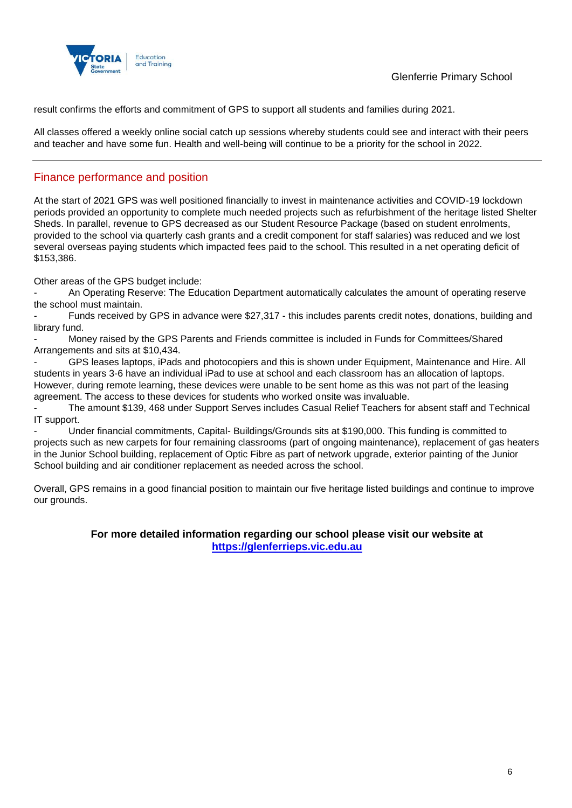

result confirms the efforts and commitment of GPS to support all students and families during 2021.

All classes offered a weekly online social catch up sessions whereby students could see and interact with their peers and teacher and have some fun. Health and well-being will continue to be a priority for the school in 2022.

## Finance performance and position

At the start of 2021 GPS was well positioned financially to invest in maintenance activities and COVID-19 lockdown periods provided an opportunity to complete much needed projects such as refurbishment of the heritage listed Shelter Sheds. In parallel, revenue to GPS decreased as our Student Resource Package (based on student enrolments, provided to the school via quarterly cash grants and a credit component for staff salaries) was reduced and we lost several overseas paying students which impacted fees paid to the school. This resulted in a net operating deficit of \$153,386.

Other areas of the GPS budget include:

- An Operating Reserve: The Education Department automatically calculates the amount of operating reserve the school must maintain.

- Funds received by GPS in advance were \$27,317 - this includes parents credit notes, donations, building and library fund.

- Money raised by the GPS Parents and Friends committee is included in Funds for Committees/Shared Arrangements and sits at \$10,434.

GPS leases laptops, iPads and photocopiers and this is shown under Equipment, Maintenance and Hire. All students in years 3-6 have an individual iPad to use at school and each classroom has an allocation of laptops. However, during remote learning, these devices were unable to be sent home as this was not part of the leasing agreement. The access to these devices for students who worked onsite was invaluable.

- The amount \$139, 468 under Support Serves includes Casual Relief Teachers for absent staff and Technical IT support.

- Under financial commitments, Capital- Buildings/Grounds sits at \$190,000. This funding is committed to projects such as new carpets for four remaining classrooms (part of ongoing maintenance), replacement of gas heaters in the Junior School building, replacement of Optic Fibre as part of network upgrade, exterior painting of the Junior School building and air conditioner replacement as needed across the school.

Overall, GPS remains in a good financial position to maintain our five heritage listed buildings and continue to improve our grounds.

### **For more detailed information regarding our school please visit our website at [https://glenferrieps.vic.edu.au](https://glenferrieps.vic.edu.au/)**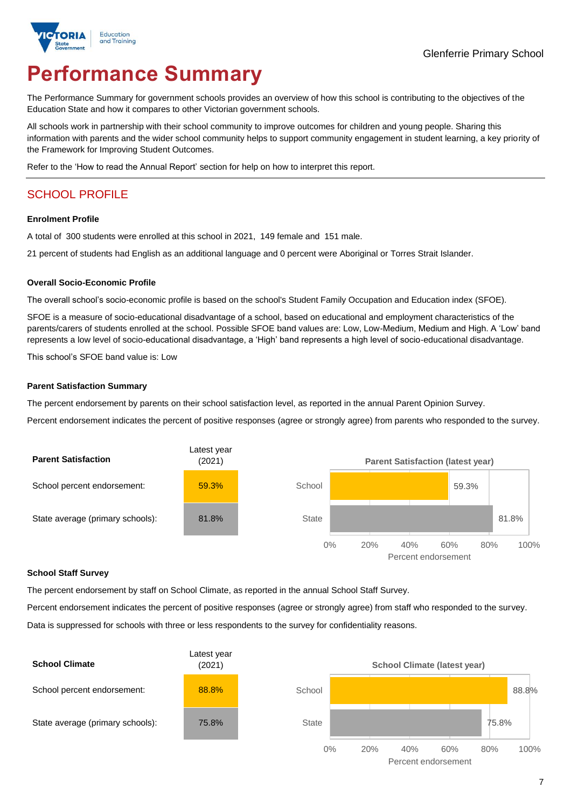

# **Performance Summary**

The Performance Summary for government schools provides an overview of how this school is contributing to the objectives of the Education State and how it compares to other Victorian government schools.

All schools work in partnership with their school community to improve outcomes for children and young people. Sharing this information with parents and the wider school community helps to support community engagement in student learning, a key priority of the Framework for Improving Student Outcomes.

Refer to the 'How to read the Annual Report' section for help on how to interpret this report.

# SCHOOL PROFILE

#### **Enrolment Profile**

A total of 300 students were enrolled at this school in 2021, 149 female and 151 male.

21 percent of students had English as an additional language and 0 percent were Aboriginal or Torres Strait Islander.

#### **Overall Socio-Economic Profile**

The overall school's socio-economic profile is based on the school's Student Family Occupation and Education index (SFOE).

SFOE is a measure of socio-educational disadvantage of a school, based on educational and employment characteristics of the parents/carers of students enrolled at the school. Possible SFOE band values are: Low, Low-Medium, Medium and High. A 'Low' band represents a low level of socio-educational disadvantage, a 'High' band represents a high level of socio-educational disadvantage.

This school's SFOE band value is: Low

### **Parent Satisfaction Summary**

The percent endorsement by parents on their school satisfaction level, as reported in the annual Parent Opinion Survey.

Percent endorsement indicates the percent of positive responses (agree or strongly agree) from parents who responded to the survey.



### **School Staff Survey**

The percent endorsement by staff on School Climate, as reported in the annual School Staff Survey.

Percent endorsement indicates the percent of positive responses (agree or strongly agree) from staff who responded to the survey.

Data is suppressed for schools with three or less respondents to the survey for confidentiality reasons.

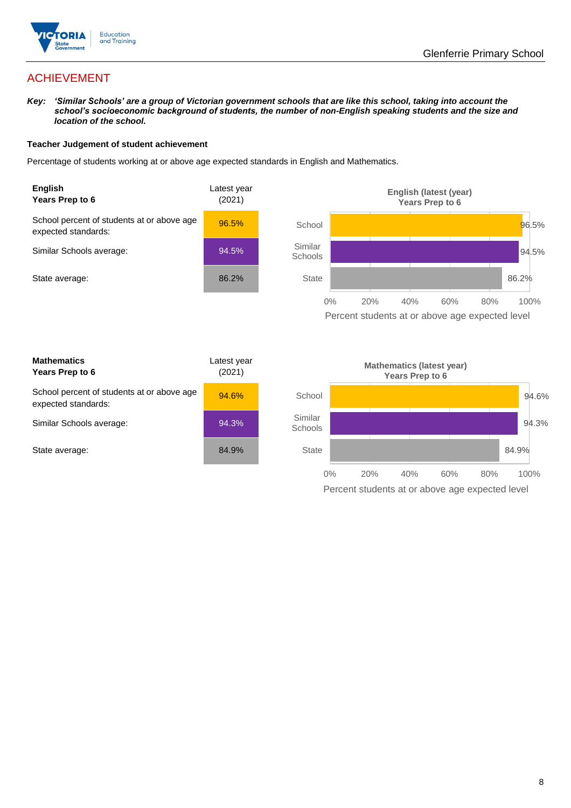

# ACHIEVEMENT

*Key: 'Similar Schools' are a group of Victorian government schools that are like this school, taking into account the school's socioeconomic background of students, the number of non-English speaking students and the size and location of the school.*

### **Teacher Judgement of student achievement**

Percentage of students working at or above age expected standards in English and Mathematics.



Percent students at or above age expected level

| <b>Mathematics</b><br>Years Prep to 6                             | Latest year<br>(2021) |
|-------------------------------------------------------------------|-----------------------|
| School percent of students at or above age<br>expected standards: | 94.6%                 |
| Similar Schools average:                                          | 94.3%                 |
| State average:                                                    | 84.9%                 |

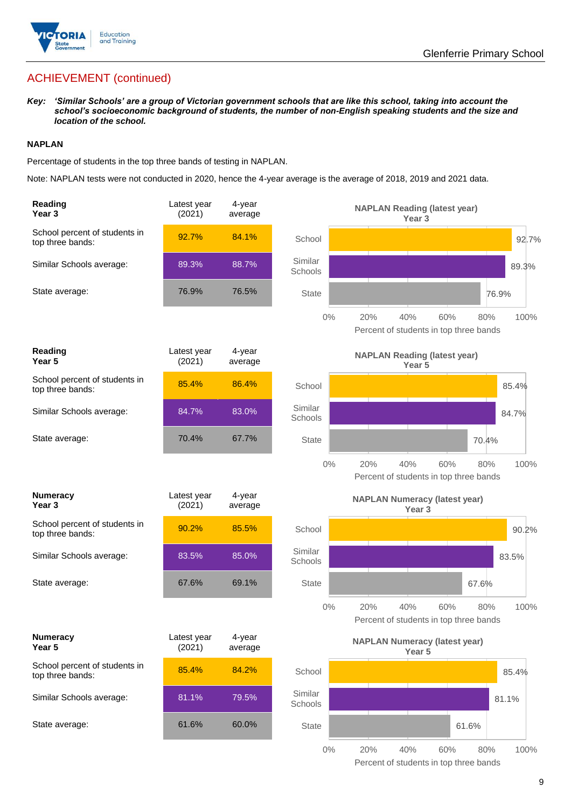

# ACHIEVEMENT (continued)

*Key: 'Similar Schools' are a group of Victorian government schools that are like this school, taking into account the school's socioeconomic background of students, the number of non-English speaking students and the size and location of the school.*

### **NAPLAN**

Percentage of students in the top three bands of testing in NAPLAN.

Note: NAPLAN tests were not conducted in 2020, hence the 4-year average is the average of 2018, 2019 and 2021 data.

| Reading<br>Year <sub>3</sub>                      | Latest year<br>(2021) | 4-year<br>average |                    | <b>NAPLAN Reading (latest year)</b><br>Year 3                              |
|---------------------------------------------------|-----------------------|-------------------|--------------------|----------------------------------------------------------------------------|
| School percent of students in<br>top three bands: | 92.7%                 | 84.1%             | School             | 92.7%                                                                      |
| Similar Schools average:                          | 89.3%                 | 88.7%             | Similar<br>Schools | 89.3%                                                                      |
| State average:                                    | 76.9%                 | 76.5%             | <b>State</b>       | 76.9%                                                                      |
|                                                   |                       |                   | $0\%$              | 20%<br>40%<br>60%<br>100%<br>80%<br>Percent of students in top three bands |
| Reading<br>Year 5                                 | Latest year<br>(2021) | 4-year<br>average |                    | <b>NAPLAN Reading (latest year)</b><br>Year <sub>5</sub>                   |
| School percent of students in<br>top three bands: | 85.4%                 | 86.4%             | School             | 85.4%                                                                      |
| Similar Schools average:                          | 84.7%                 | 83.0%             | Similar<br>Schools | 84.7%                                                                      |
| State average:                                    | 70.4%                 | 67.7%             | <b>State</b>       | 70.4%                                                                      |
|                                                   |                       |                   | $0\%$              | 20%<br>40%<br>60%<br>100%<br>80%<br>Percent of students in top three bands |
| <b>Numeracy</b><br>Year <sub>3</sub>              | Latest year<br>(2021) | 4-year<br>average |                    | <b>NAPLAN Numeracy (latest year)</b><br>Year <sub>3</sub>                  |
| School percent of students in<br>top three bands: | 90.2%                 | 85.5%             | School             | 90.2%                                                                      |
| Similar Schools average:                          | 83.5%                 | 85.0%             | Similar<br>Schools | 83.5%                                                                      |
| State average:                                    | 67.6%                 | 69.1%             | <b>State</b>       | 67.6%                                                                      |
|                                                   |                       |                   | $0\%$              | 20%<br>40%<br>60%<br>80%<br>100%<br>Percent of students in top three bands |
| <b>Numeracy</b><br>Year 5                         | Latest year<br>(2021) | 4-year<br>average |                    | <b>NAPLAN Numeracy (latest year)</b><br>Year 5                             |
| School percent of students in<br>top three bands: | 85.4%                 | 84.2%             | School             | 85.4%                                                                      |
| Similar Schools average:                          | 81.1%                 | 79.5%             | Similar<br>Schools | 81.1%                                                                      |
| State average:                                    | 61.6%                 | 60.0%             | <b>State</b>       | 61.6%                                                                      |
|                                                   |                       |                   | $0\%$              | 20%<br>40%<br>60%<br>80%<br>100%                                           |

Percent of students in top three bands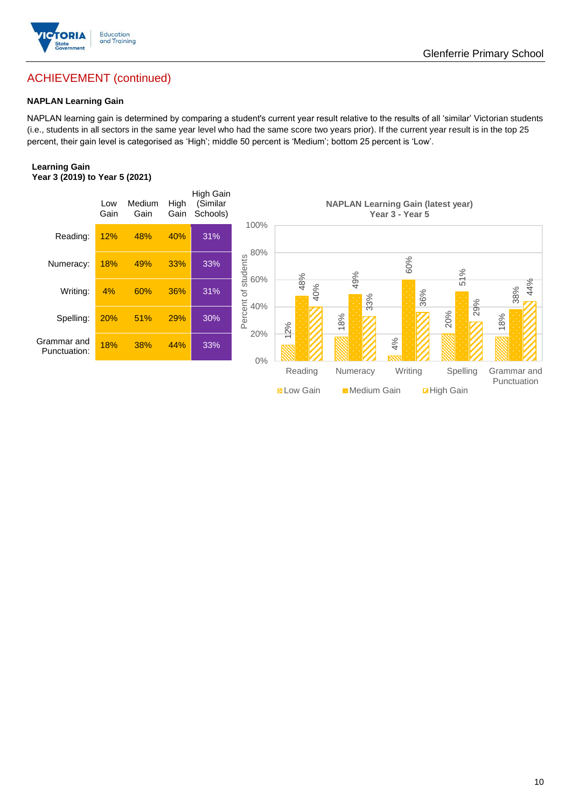

# ACHIEVEMENT (continued)

### **NAPLAN Learning Gain**

NAPLAN learning gain is determined by comparing a student's current year result relative to the results of all 'similar' Victorian students (i.e., students in all sectors in the same year level who had the same score two years prior). If the current year result is in the top 25 percent, their gain level is categorised as 'High'; middle 50 percent is 'Medium'; bottom 25 percent is 'Low'.

### **Learning Gain Year 3 (2019) to Year 5 (2021)**

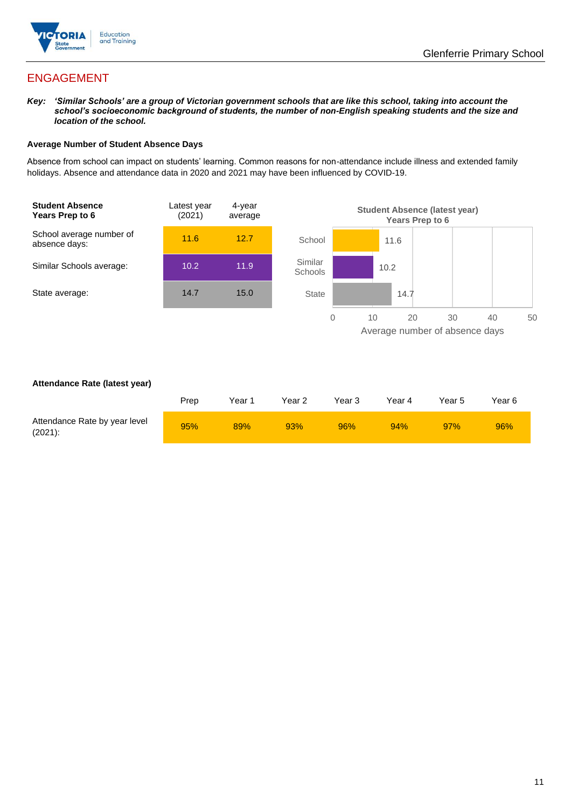

# ENGAGEMENT

*Key: 'Similar Schools' are a group of Victorian government schools that are like this school, taking into account the school's socioeconomic background of students, the number of non-English speaking students and the size and location of the school.*

### **Average Number of Student Absence Days**

Absence from school can impact on students' learning. Common reasons for non-attendance include illness and extended family holidays. Absence and attendance data in 2020 and 2021 may have been influenced by COVID-19.



### **Attendance Rate (latest year)**

|                                             | Prep | Year 1 | Year 2 | Year 3 | Year 4 | Year 5 | Year 6 |
|---------------------------------------------|------|--------|--------|--------|--------|--------|--------|
| Attendance Rate by year level<br>$(2021)$ : | 95%  | 89%    | 93%    | 96%    | 94%    | 97%    | 96%    |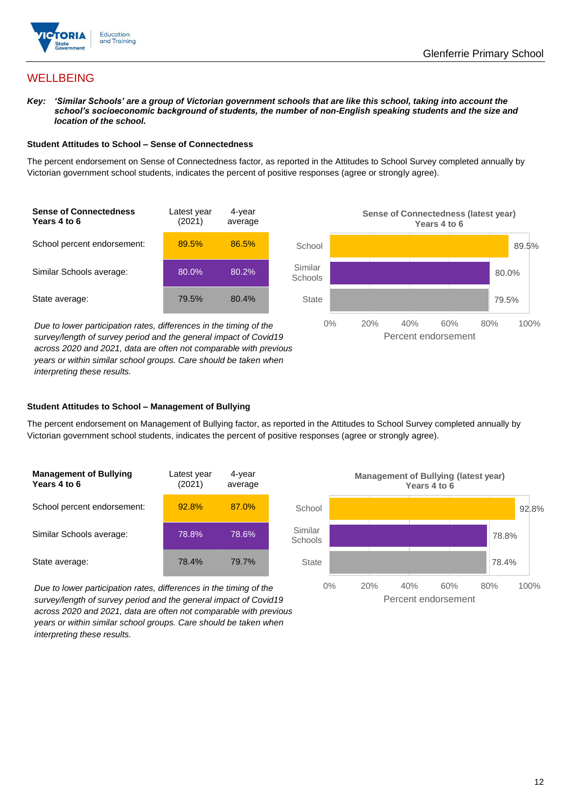

## **WELLBEING**

*Key: 'Similar Schools' are a group of Victorian government schools that are like this school, taking into account the school's socioeconomic background of students, the number of non-English speaking students and the size and location of the school.*

#### **Student Attitudes to School – Sense of Connectedness**

The percent endorsement on Sense of Connectedness factor, as reported in the Attitudes to School Survey completed annually by Victorian government school students, indicates the percent of positive responses (agree or strongly agree).



*Due to lower participation rates, differences in the timing of the survey/length of survey period and the general impact of Covid19 across 2020 and 2021, data are often not comparable with previous years or within similar school groups. Care should be taken when interpreting these results.*



### **Student Attitudes to School – Management of Bullying**

The percent endorsement on Management of Bullying factor, as reported in the Attitudes to School Survey completed annually by Victorian government school students, indicates the percent of positive responses (agree or strongly agree).

| <b>Management of Bullying</b><br>Years 4 to 6 | Latest year<br>(2021) | 4-year<br>average |  |
|-----------------------------------------------|-----------------------|-------------------|--|
| School percent endorsement:                   | 92.8%                 | 87.0%             |  |
| Similar Schools average:                      | 78.8%                 | 78.6%             |  |
| State average:                                | 78.4%                 | 79.7%             |  |

*Due to lower participation rates, differences in the timing of the survey/length of survey period and the general impact of Covid19 across 2020 and 2021, data are often not comparable with previous years or within similar school groups. Care should be taken when interpreting these results.*

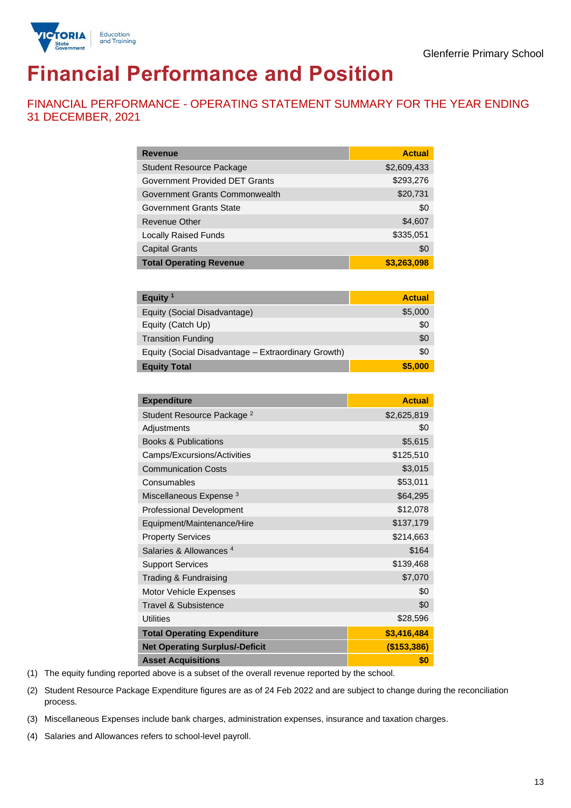

# **Financial Performance and Position**

FINANCIAL PERFORMANCE - OPERATING STATEMENT SUMMARY FOR THE YEAR ENDING 31 DECEMBER, 2021

| <b>Revenue</b>                  | <b>Actual</b> |
|---------------------------------|---------------|
| <b>Student Resource Package</b> | \$2,609,433   |
| Government Provided DET Grants  | \$293,276     |
| Government Grants Commonwealth  | \$20,731      |
| Government Grants State         | \$0           |
| Revenue Other                   | \$4,607       |
| <b>Locally Raised Funds</b>     | \$335,051     |
| <b>Capital Grants</b>           | \$0           |
| <b>Total Operating Revenue</b>  | \$3,263,098   |

| Equity <sup>1</sup>                                 | <b>Actual</b> |
|-----------------------------------------------------|---------------|
| Equity (Social Disadvantage)                        | \$5,000       |
| Equity (Catch Up)                                   | \$0           |
| <b>Transition Funding</b>                           | \$0           |
| Equity (Social Disadvantage - Extraordinary Growth) | \$0           |
| <b>Equity Total</b>                                 | \$5,000       |

| <b>Expenditure</b>                    | <b>Actual</b> |
|---------------------------------------|---------------|
| Student Resource Package <sup>2</sup> | \$2,625,819   |
| Adjustments                           | \$0           |
| <b>Books &amp; Publications</b>       | \$5,615       |
| Camps/Excursions/Activities           | \$125,510     |
| <b>Communication Costs</b>            | \$3,015       |
| Consumables                           | \$53,011      |
| Miscellaneous Expense <sup>3</sup>    | \$64,295      |
| <b>Professional Development</b>       | \$12,078      |
| Equipment/Maintenance/Hire            | \$137,179     |
| <b>Property Services</b>              | \$214,663     |
| Salaries & Allowances <sup>4</sup>    | \$164         |
| <b>Support Services</b>               | \$139,468     |
| Trading & Fundraising                 | \$7,070       |
| Motor Vehicle Expenses                | \$0           |
| Travel & Subsistence                  | \$0           |
| <b>Utilities</b>                      | \$28,596      |
| <b>Total Operating Expenditure</b>    | \$3,416,484   |
| <b>Net Operating Surplus/-Deficit</b> | (\$153,386)   |
| <b>Asset Acquisitions</b>             | \$0           |

(1) The equity funding reported above is a subset of the overall revenue reported by the school.

(2) Student Resource Package Expenditure figures are as of 24 Feb 2022 and are subject to change during the reconciliation process.

(3) Miscellaneous Expenses include bank charges, administration expenses, insurance and taxation charges.

(4) Salaries and Allowances refers to school-level payroll.